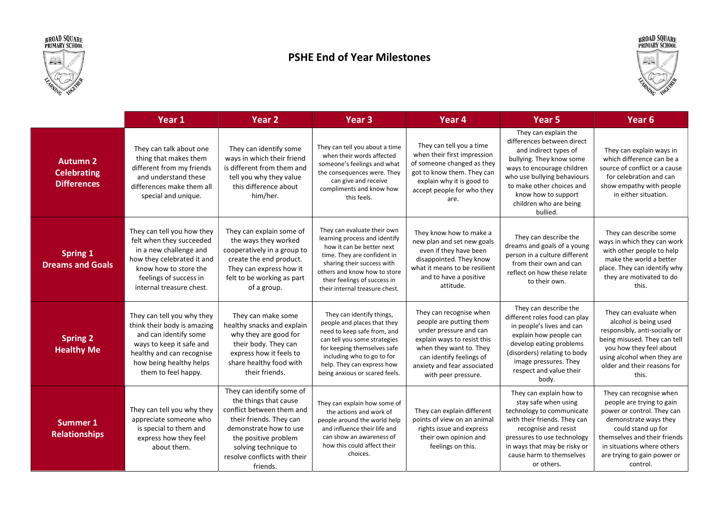



## PSHE End of Year Milestones



|                                                             | Year 1                                                                                                                                                                                        | Year <sub>2</sub>                                                                                                                                                                                                                | Year <sub>3</sub>                                                                                                                                                                                                                                        | Year <sub>4</sub>                                                                                                                                                                                                        | <b>Year 5</b>                                                                                                                                                                                                                                                  | Year <sub>6</sub>                                                                                                                                                                                                                          |
|-------------------------------------------------------------|-----------------------------------------------------------------------------------------------------------------------------------------------------------------------------------------------|----------------------------------------------------------------------------------------------------------------------------------------------------------------------------------------------------------------------------------|----------------------------------------------------------------------------------------------------------------------------------------------------------------------------------------------------------------------------------------------------------|--------------------------------------------------------------------------------------------------------------------------------------------------------------------------------------------------------------------------|----------------------------------------------------------------------------------------------------------------------------------------------------------------------------------------------------------------------------------------------------------------|--------------------------------------------------------------------------------------------------------------------------------------------------------------------------------------------------------------------------------------------|
| <b>Autumn 2</b><br><b>Celebrating</b><br><b>Differences</b> | They can talk about one<br>thing that makes them<br>different from my friends<br>and understand these<br>differences make them all<br>special and unique.                                     | They can identify some<br>ways in which their friend<br>is different from them and<br>tell you why they value<br>this difference about<br>him/her.                                                                               | They can tell you about a time<br>when their words affected<br>someone's feelings and what<br>the consequences were. They<br>can give and receive<br>compliments and know how<br>this feels.                                                             | They can tell you a time<br>when their first impression<br>of someone changed as they<br>got to know them. They can<br>explain why it is good to<br>accept people for who they<br>are.                                   | They can explain the<br>differences between direct<br>and indirect types of<br>bullying. They know some<br>ways to encourage children<br>who use bullying behaviours<br>to make other choices and<br>know how to support<br>children who are being<br>bullied. | They can explain ways in<br>which difference can be a<br>source of conflict or a cause<br>for celebration and can<br>show empathy with people<br>in either situation.                                                                      |
| <b>Spring 1</b><br><b>Dreams and Goals</b>                  | They can tell you how they<br>felt when they succeeded<br>in a new challenge and<br>how they celebrated it and<br>know how to store the<br>feelings of success in<br>internal treasure chest. | They can explain some of<br>the ways they worked<br>cooperatively in a group to<br>create the end product.<br>They can express how it<br>felt to be working as part<br>of a group.                                               | They can evaluate their own<br>learning process and identify<br>how it can be better next<br>time. They are confident in<br>sharing their success with<br>others and know how to store<br>their feelings of success in<br>their internal treasure chest. | They know how to make a<br>new plan and set new goals<br>even if they have been<br>disappointed. They know<br>what it means to be resilient<br>and to have a positive<br>attitude.                                       | They can describe the<br>dreams and goals of a young<br>person in a culture different<br>from their own and can<br>reflect on how these relate<br>to their own.                                                                                                | They can describe some<br>ways in which they can work<br>with other people to help<br>make the world a better<br>place. They can identify why<br>they are motivated to do<br>this.                                                         |
| <b>Spring 2</b><br><b>Healthy Me</b>                        | They can tell you why they<br>think their body is amazing<br>and can identify some<br>ways to keep it safe and<br>healthy and can recognise<br>how being healthy helps<br>them to feel happy. | They can make some<br>healthy snacks and explain<br>why they are good for<br>their body. They can<br>express how it feels to<br>share healthy food with<br>their friends.                                                        | They can identify things,<br>people and places that they<br>need to keep safe from, and<br>can tell you some strategies<br>for keeping themselves safe<br>including who to go to for<br>help. They can express how<br>being anxious or scared feels.     | They can recognise when<br>people are putting them<br>under pressure and can<br>explain ways to resist this<br>when they want to. They<br>can identify feelings of<br>anxiety and fear associated<br>with peer pressure. | They can describe the<br>different roles food can play<br>in people's lives and can<br>explain how people can<br>develop eating problems<br>(disorders) relating to body<br>image pressures. They<br>respect and value their<br>body.                          | They can evaluate when<br>alcohol is being used<br>responsibly, anti-socially or<br>being misused. They can tell<br>you how they feel about<br>using alcohol when they are<br>older and their reasons for<br>this.                         |
| Summer 1<br><b>Relationships</b>                            | They can tell you why they<br>appreciate someone who<br>is special to them and<br>express how they feel<br>about them.                                                                        | They can identify some of<br>the things that cause<br>conflict between them and<br>their friends. They can<br>demonstrate how to use<br>the positive problem<br>solving technique to<br>resolve conflicts with their<br>friends. | They can explain how some of<br>the actions and work of<br>people around the world help<br>and influence their life and<br>can show an awareness of<br>how this could affect their<br>choices.                                                           | They can explain different<br>points of view on an animal<br>rights issue and express<br>their own opinion and<br>feelings on this.                                                                                      | They can explain how to<br>stay safe when using<br>technology to communicate<br>with their friends. They can<br>recognise and resist<br>pressures to use technology<br>in ways that may be risky or<br>cause harm to themselves<br>or others.                  | They can recognise when<br>people are trying to gain<br>power or control. They can<br>demonstrate ways they<br>could stand up for<br>themselves and their friends<br>in situations where others<br>are trying to gain power or<br>control. |